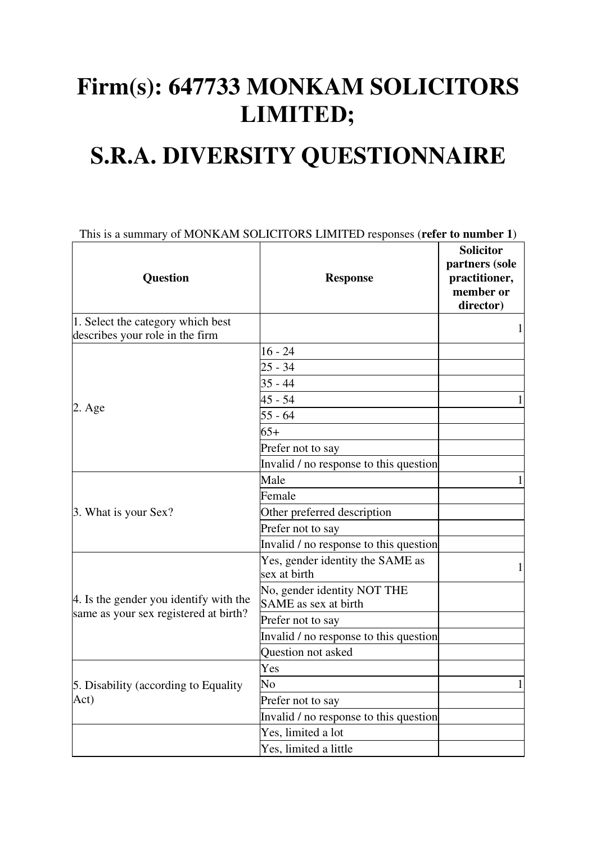## **Firm(s): 647733 MONKAM SOLICITORS LIMITED;**

## **S.R.A. DIVERSITY QUESTIONNAIRE**

| This is a summary of MONKAM SOLICITORS LIMITED responses (refer to number 1)    |                                                     |                                                                               |  |
|---------------------------------------------------------------------------------|-----------------------------------------------------|-------------------------------------------------------------------------------|--|
| <b>Question</b>                                                                 | <b>Response</b>                                     | <b>Solicitor</b><br>partners (sole<br>practitioner,<br>member or<br>director) |  |
| 1. Select the category which best                                               |                                                     | $\mathbf{1}$                                                                  |  |
| describes your role in the firm                                                 |                                                     |                                                                               |  |
|                                                                                 | $16 - 24$                                           |                                                                               |  |
|                                                                                 | $25 - 34$                                           |                                                                               |  |
|                                                                                 | $35 - 44$                                           |                                                                               |  |
| $2. \text{Age}$                                                                 | $45 - 54$                                           |                                                                               |  |
|                                                                                 | $55 - 64$                                           |                                                                               |  |
|                                                                                 | $65+$                                               |                                                                               |  |
|                                                                                 | Prefer not to say                                   |                                                                               |  |
|                                                                                 | Invalid / no response to this question              |                                                                               |  |
|                                                                                 | Male                                                |                                                                               |  |
| 3. What is your Sex?                                                            | Female                                              |                                                                               |  |
|                                                                                 | Other preferred description                         |                                                                               |  |
|                                                                                 | Prefer not to say                                   |                                                                               |  |
|                                                                                 | Invalid / no response to this question              |                                                                               |  |
| 4. Is the gender you identify with the<br>same as your sex registered at birth? | Yes, gender identity the SAME as<br>sex at birth    | 1                                                                             |  |
|                                                                                 | No, gender identity NOT THE<br>SAME as sex at birth |                                                                               |  |
|                                                                                 | Prefer not to say                                   |                                                                               |  |
|                                                                                 | Invalid / no response to this question              |                                                                               |  |
|                                                                                 | Question not asked                                  |                                                                               |  |
|                                                                                 | Yes                                                 |                                                                               |  |
| 5. Disability (according to Equality                                            | No                                                  | $\mathbf 1$                                                                   |  |
| Act)                                                                            | Prefer not to say                                   |                                                                               |  |
|                                                                                 | Invalid / no response to this question              |                                                                               |  |
|                                                                                 | Yes, limited a lot                                  |                                                                               |  |
|                                                                                 | Yes, limited a little                               |                                                                               |  |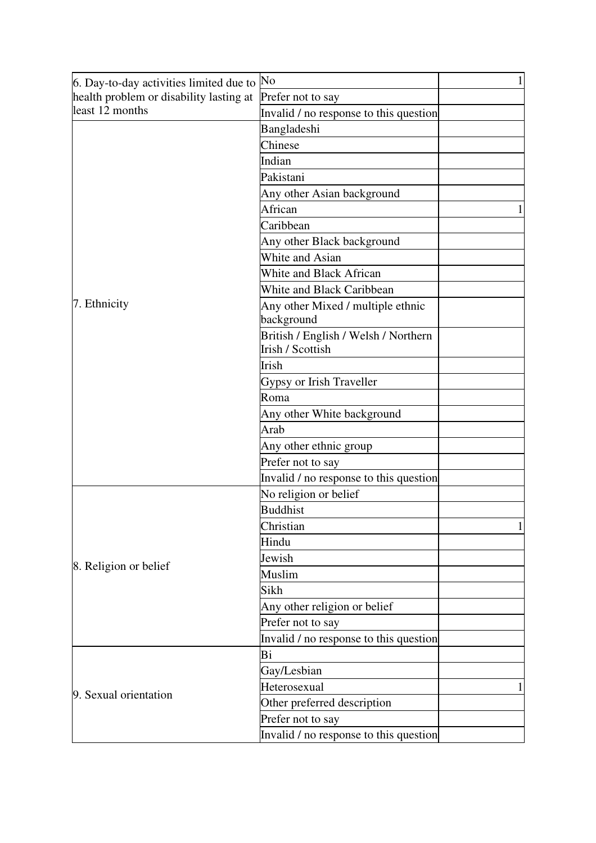| 6. Day-to-day activities limited due to | No                                     | $\mathbf{1}$ |
|-----------------------------------------|----------------------------------------|--------------|
| health problem or disability lasting at | Prefer not to say                      |              |
| least 12 months                         | Invalid / no response to this question |              |
|                                         | Bangladeshi                            |              |
|                                         | Chinese                                |              |
|                                         | Indian                                 |              |
|                                         | Pakistani                              |              |
|                                         | Any other Asian background             |              |
|                                         | African                                |              |
|                                         | Caribbean                              |              |
|                                         | Any other Black background             |              |
|                                         | White and Asian                        |              |
|                                         | White and Black African                |              |
|                                         | <b>White and Black Caribbean</b>       |              |
| 7. Ethnicity                            | Any other Mixed / multiple ethnic      |              |
|                                         | background                             |              |
|                                         | British / English / Welsh / Northern   |              |
|                                         | <b>Irish / Scottish</b>                |              |
|                                         | Irish                                  |              |
|                                         | Gypsy or Irish Traveller               |              |
|                                         | Roma                                   |              |
|                                         | Any other White background             |              |
|                                         | Arab                                   |              |
|                                         | Any other ethnic group                 |              |
|                                         | Prefer not to say                      |              |
|                                         | Invalid / no response to this question |              |
|                                         | No religion or belief                  |              |
|                                         | <b>Buddhist</b>                        |              |
|                                         | Christian                              | 1            |
| 8. Religion or belief                   | Hindu                                  |              |
|                                         | Jewish                                 |              |
|                                         | Muslim                                 |              |
|                                         | Sikh                                   |              |
|                                         | Any other religion or belief           |              |
|                                         | Prefer not to say                      |              |
|                                         | Invalid / no response to this question |              |
|                                         | Bi                                     |              |
|                                         | Gay/Lesbian                            |              |
| 9. Sexual orientation                   | Heterosexual                           |              |
|                                         |                                        | 1            |
|                                         | Other preferred description            |              |
|                                         | Prefer not to say                      |              |
|                                         | Invalid / no response to this question |              |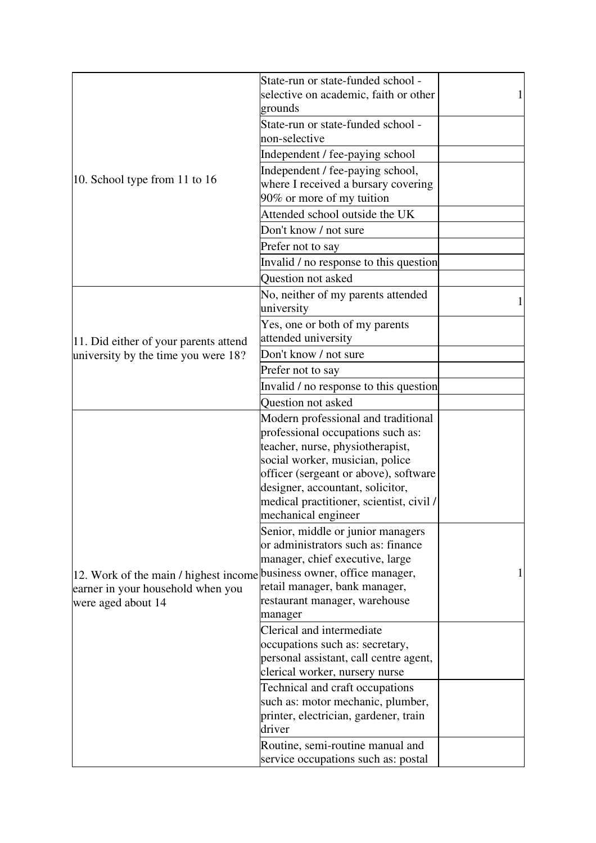|                                                                       | State-run or state-funded school -<br>selective on academic, faith or other |  |
|-----------------------------------------------------------------------|-----------------------------------------------------------------------------|--|
|                                                                       | grounds                                                                     |  |
|                                                                       | State-run or state-funded school -                                          |  |
|                                                                       | non-selective                                                               |  |
|                                                                       |                                                                             |  |
|                                                                       | Independent / fee-paying school                                             |  |
| 10. School type from 11 to 16                                         | Independent / fee-paying school,                                            |  |
|                                                                       | where I received a bursary covering                                         |  |
|                                                                       | 90% or more of my tuition                                                   |  |
|                                                                       | Attended school outside the UK                                              |  |
|                                                                       | Don't know / not sure                                                       |  |
|                                                                       | Prefer not to say                                                           |  |
|                                                                       | Invalid / no response to this question                                      |  |
|                                                                       | <b>Ouestion not asked</b>                                                   |  |
|                                                                       | No, neither of my parents attended                                          |  |
|                                                                       | university                                                                  |  |
|                                                                       | Yes, one or both of my parents                                              |  |
| 11. Did either of your parents attend                                 | attended university                                                         |  |
| university by the time you were 18?                                   | Don't know / not sure                                                       |  |
|                                                                       | Prefer not to say                                                           |  |
|                                                                       | Invalid / no response to this question                                      |  |
|                                                                       | <b>Question not asked</b>                                                   |  |
|                                                                       | Modern professional and traditional                                         |  |
|                                                                       | professional occupations such as:                                           |  |
|                                                                       | teacher, nurse, physiotherapist,                                            |  |
|                                                                       | social worker, musician, police                                             |  |
|                                                                       | officer (sergeant or above), software                                       |  |
|                                                                       | designer, accountant, solicitor,                                            |  |
| 12. Work of the main / highest income business owner, office manager, | medical practitioner, scientist, civil /                                    |  |
|                                                                       | mechanical engineer                                                         |  |
|                                                                       | Senior, middle or junior managers                                           |  |
|                                                                       | or administrators such as: finance                                          |  |
|                                                                       | manager, chief executive, large                                             |  |
|                                                                       |                                                                             |  |
| earner in your household when you                                     | retail manager, bank manager,                                               |  |
| were aged about 14                                                    | restaurant manager, warehouse                                               |  |
|                                                                       | manager                                                                     |  |
|                                                                       | Clerical and intermediate                                                   |  |
|                                                                       | occupations such as: secretary,                                             |  |
|                                                                       | personal assistant, call centre agent,                                      |  |
|                                                                       | clerical worker, nursery nurse                                              |  |
|                                                                       | Technical and craft occupations                                             |  |
|                                                                       | such as: motor mechanic, plumber,                                           |  |
|                                                                       | printer, electrician, gardener, train                                       |  |
|                                                                       | driver                                                                      |  |
|                                                                       | Routine, semi-routine manual and                                            |  |
|                                                                       | service occupations such as: postal                                         |  |